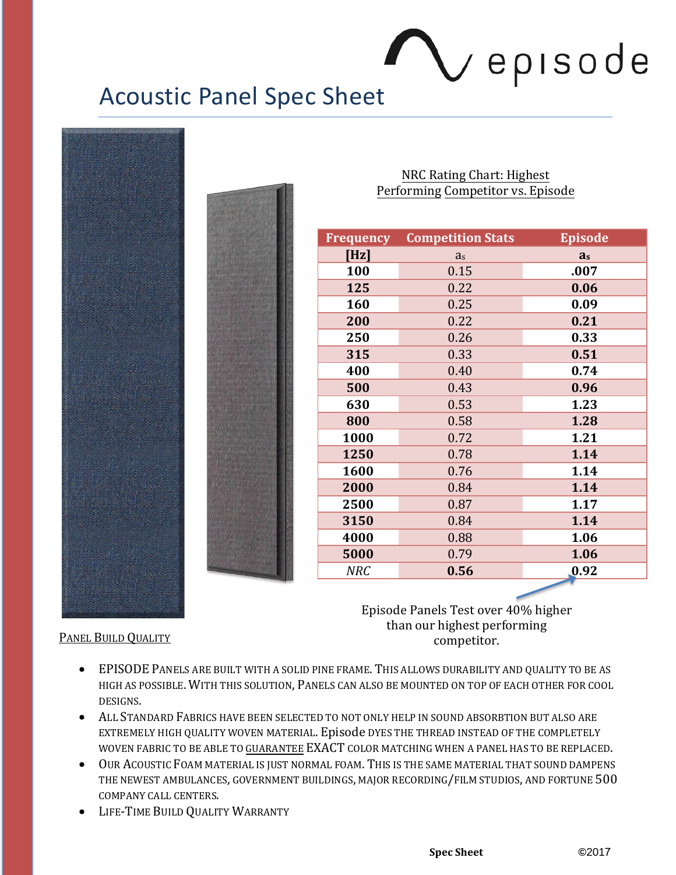## Vepisode

## Acoustic Panel Spec Sheet



NRC Rating Chart: Highest Performing Competitor vs. Episode

| <b>Frequency</b> | <b>Competition Stats</b> | <b>Episode</b> |
|------------------|--------------------------|----------------|
| [Hz]             | a <sub>s</sub>           | a <sub>s</sub> |
| 100              | 0.15                     | .007           |
| 125              | 0.22                     | 0.06           |
| 160              | 0.25                     | 0.09           |
| 200              | 0.22                     | 0.21           |
| 250              | 0.26                     | 0.33           |
| 315              | 0.33                     | 0.51           |
| 400              | 0.40                     | 0.74           |
| 500              | 0.43                     | 0.96           |
| 630              | 0.53                     | 1.23           |
| 800              | 0.58                     | 1.28           |
| 1000             | 0.72                     | 1.21           |
| 1250             | 0.78                     | 1.14           |
| 1600             | 0.76                     | 1.14           |
| 2000             | 0.84                     | 1.14           |
| 2500             | 0.87                     | 1.17           |
| 3150             | 0.84                     | 1.14           |
| 4000             | 0.88                     | 1.06           |
| 5000             | 0.79                     | 1.06           |
| <b>NRC</b>       | 0.56                     | 0.92           |

Episode Panels Test over 40% higher than our highest performing PANEL BUILD QUALITY COMPETITOR

- EPISODE PANELS ARE BUILT WITH A SOLID PINE FRAME. THIS ALLOWS DURABILITY AND QUALITY TO BE AS HIGH AS POSSIBLE. WITH THIS SOLUTION, PANELS CAN ALSO BE MOUNTED ON TOP OF EACH OTHER FOR COOL DESIGNS.
- ALL STANDARD FABRICS HAVE BEEN SELECTED TO NOT ONLY HELP IN SOUND ABSORBTION BUT ALSO ARE EXTREMELY HIGH QUALITY WOVEN MATERIAL. Episode DYES THE THREAD INSTEAD OF THE COMPLETELY WOVEN FABRIC TO BE ABLE TO GUARANTEE EXACT COLOR MATCHING WHEN A PANEL HAS TO BE REPLACED.
- OUR ACOUSTIC FOAM MATERIAL IS JUST NORMAL FOAM. THIS IS THE SAME MATERIAL THAT SOUND DAMPENS THE NEWEST AMBULANCES, GOVERNMENT BUILDINGS, MAJOR RECORDING/FILM STUDIOS, AND FORTUNE 500 COMPANY CALL CENTERS.
- **LIFE-TIME BUILD QUALITY WARRANTY**